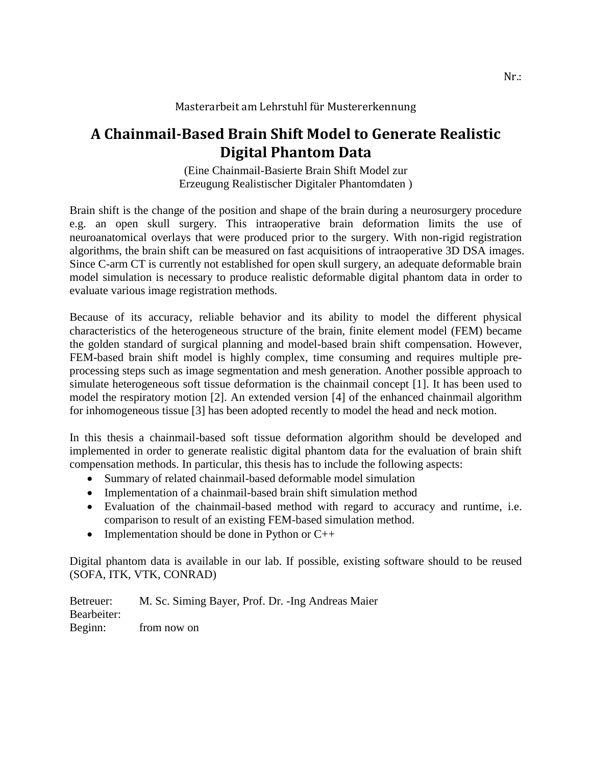## Masterarbeit am Lehrstuhl für Mustererkennung

## **A Chainmail-Based Brain Shift Model to Generate Realistic Digital Phantom Data**

(Eine Chainmail-Basierte Brain Shift Model zur Erzeugung Realistischer Digitaler Phantomdaten )

Brain shift is the change of the position and shape of the brain during a neurosurgery procedure e.g. an open skull surgery. This intraoperative brain deformation limits the use of neuroanatomical overlays that were produced prior to the surgery. With non-rigid registration algorithms, the brain shift can be measured on fast acquisitions of intraoperative 3D DSA images. Since C-arm CT is currently not established for open skull surgery, an adequate deformable brain model simulation is necessary to produce realistic deformable digital phantom data in order to evaluate various image registration methods.

Because of its accuracy, reliable behavior and its ability to model the different physical characteristics of the heterogeneous structure of the brain, finite element model (FEM) became the golden standard of surgical planning and model-based brain shift compensation. However, FEM-based brain shift model is highly complex, time consuming and requires multiple preprocessing steps such as image segmentation and mesh generation. Another possible approach to simulate heterogeneous soft tissue deformation is the chainmail concept [1]. It has been used to model the respiratory motion [2]. An extended version [4] of the enhanced chainmail algorithm for inhomogeneous tissue [3] has been adopted recently to model the head and neck motion.

In this thesis a chainmail-based soft tissue deformation algorithm should be developed and implemented in order to generate realistic digital phantom data for the evaluation of brain shift compensation methods. In particular, this thesis has to include the following aspects:

- Summary of related chainmail-based deformable model simulation
- Implementation of a chainmail-based brain shift simulation method
- Evaluation of the chainmail-based method with regard to accuracy and runtime, i.e. comparison to result of an existing FEM-based simulation method.
- Implementation should be done in Python or  $C_{++}$

Digital phantom data is available in our lab. If possible, existing software should to be reused (SOFA, ITK, VTK, CONRAD)

Betreuer: M. Sc. Siming Bayer, Prof. Dr. -Ing Andreas Maier Bearbeiter: Beginn: from now on